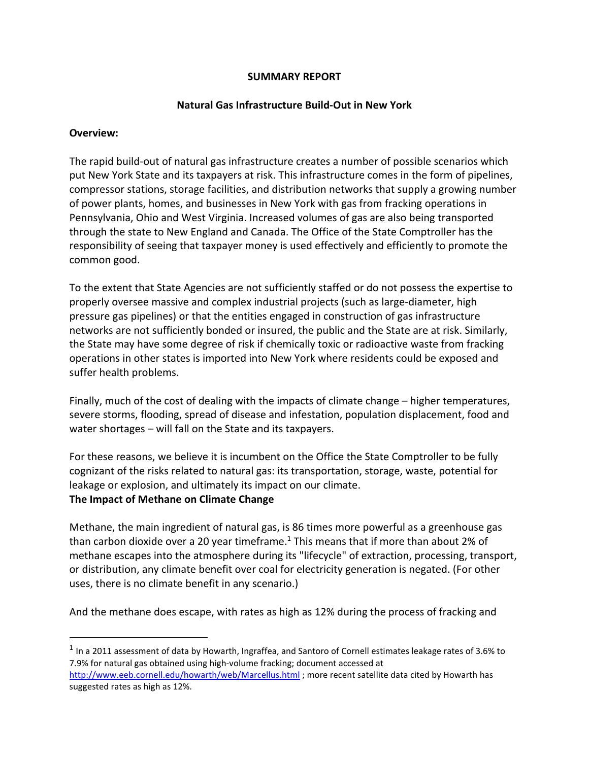#### **SUMMARY REPORT**

#### **Natural Gas Infrastructure Build-Out in New York**

#### **Overview:**

The rapid build-out of natural gas infrastructure creates a number of possible scenarios which put New York State and its taxpayers at risk. This infrastructure comes in the form of pipelines, compressor stations, storage facilities, and distribution networks that supply a growing number of power plants, homes, and businesses in New York with gas from fracking operations in Pennsylvania, Ohio and West Virginia. Increased volumes of gas are also being transported through the state to New England and Canada. The Office of the State Comptroller has the responsibility of seeing that taxpayer money is used effectively and efficiently to promote the common good.

To the extent that State Agencies are not sufficiently staffed or do not possess the expertise to properly oversee massive and complex industrial projects (such as large-diameter, high pressure gas pipelines) or that the entities engaged in construction of gas infrastructure networks are not sufficiently bonded or insured, the public and the State are at risk. Similarly, the State may have some degree of risk if chemically toxic or radioactive waste from fracking operations in other states is imported into New York where residents could be exposed and suffer health problems.

Finally, much of the cost of dealing with the impacts of climate change – higher temperatures, severe storms, flooding, spread of disease and infestation, population displacement, food and water shortages – will fall on the State and its taxpayers.

For these reasons, we believe it is incumbent on the Office the State Comptroller to be fully cognizant of the risks related to natural gas: its transportation, storage, waste, potential for leakage or explosion, and ultimately its impact on our climate.

#### **The Impact of Methane on Climate Change**

Methane, the main ingredient of natural gas, is 86 times more powerful as a greenhouse gas than carbon dioxide over a 20 year timeframe.<sup>1</sup> This means that if more than about 2% of methane escapes into the atmosphere during its "lifecycle" of extraction, processing, transport, or distribution, any climate benefit over coal for electricity generation is negated. (For other uses, there is no climate benefit in any scenario.)

And the methane does escape, with rates as high as 12% during the process of fracking and

 $1$  In a 2011 assessment of data by Howarth, Ingraffea, and Santoro of Cornell estimates leakage rates of 3.6% to 7.9% for natural gas obtained using high-volume fracking; document accessed at http://www.eeb.cornell.edu/howarth/web/Marcellus.html ; more recent satellite data cited by Howarth has suggested rates as high as 12%.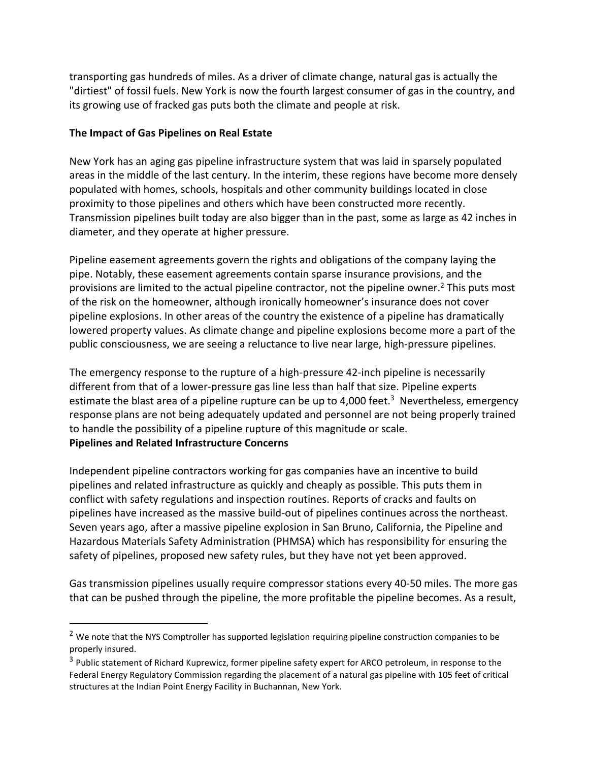transporting gas hundreds of miles. As a driver of climate change, natural gas is actually the "dirtiest" of fossil fuels. New York is now the fourth largest consumer of gas in the country, and its growing use of fracked gas puts both the climate and people at risk.

### **The Impact of Gas Pipelines on Real Estate**

New York has an aging gas pipeline infrastructure system that was laid in sparsely populated areas in the middle of the last century. In the interim, these regions have become more densely populated with homes, schools, hospitals and other community buildings located in close proximity to those pipelines and others which have been constructed more recently. Transmission pipelines built today are also bigger than in the past, some as large as 42 inches in diameter, and they operate at higher pressure.

Pipeline easement agreements govern the rights and obligations of the company laying the pipe. Notably, these easement agreements contain sparse insurance provisions, and the provisions are limited to the actual pipeline contractor, not the pipeline owner.<sup>2</sup> This puts most of the risk on the homeowner, although ironically homeowner's insurance does not cover pipeline explosions. In other areas of the country the existence of a pipeline has dramatically lowered property values. As climate change and pipeline explosions become more a part of the public consciousness, we are seeing a reluctance to live near large, high-pressure pipelines.

The emergency response to the rupture of a high-pressure 42-inch pipeline is necessarily different from that of a lower-pressure gas line less than half that size. Pipeline experts estimate the blast area of a pipeline rupture can be up to 4,000 feet.<sup>3</sup> Nevertheless, emergency response plans are not being adequately updated and personnel are not being properly trained to handle the possibility of a pipeline rupture of this magnitude or scale. **Pipelines and Related Infrastructure Concerns**

Independent pipeline contractors working for gas companies have an incentive to build pipelines and related infrastructure as quickly and cheaply as possible. This puts them in conflict with safety regulations and inspection routines. Reports of cracks and faults on pipelines have increased as the massive build-out of pipelines continues across the northeast. Seven years ago, after a massive pipeline explosion in San Bruno, California, the Pipeline and Hazardous Materials Safety Administration (PHMSA) which has responsibility for ensuring the safety of pipelines, proposed new safety rules, but they have not yet been approved.

Gas transmission pipelines usually require compressor stations every 40-50 miles. The more gas that can be pushed through the pipeline, the more profitable the pipeline becomes. As a result,

 $<sup>2</sup>$  We note that the NYS Comptroller has supported legislation requiring pipeline construction companies to be</sup> properly insured.

<sup>&</sup>lt;sup>3</sup> Public statement of Richard Kuprewicz, former pipeline safety expert for ARCO petroleum, in response to the Federal Energy Regulatory Commission regarding the placement of a natural gas pipeline with 105 feet of critical structures at the Indian Point Energy Facility in Buchannan, New York.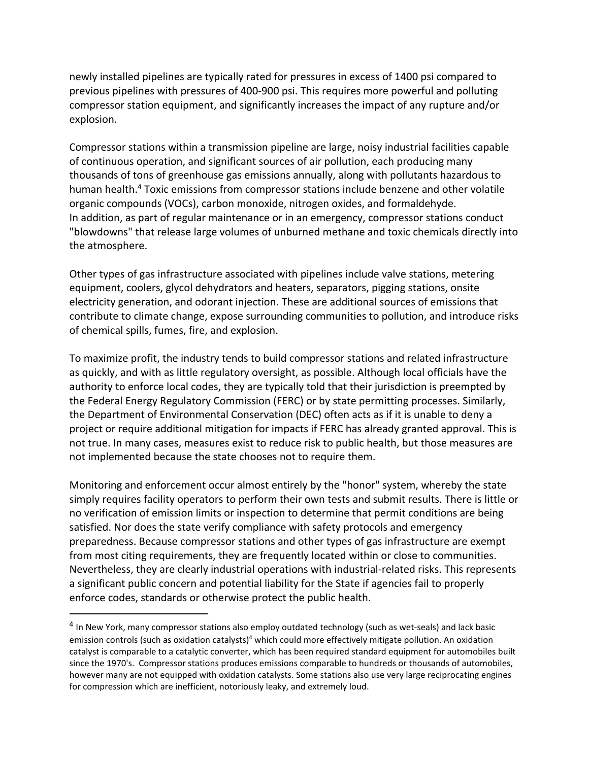newly installed pipelines are typically rated for pressures in excess of 1400 psi compared to previous pipelines with pressures of 400-900 psi. This requires more powerful and polluting compressor station equipment, and significantly increases the impact of any rupture and/or explosion.

Compressor stations within a transmission pipeline are large, noisy industrial facilities capable of continuous operation, and significant sources of air pollution, each producing many thousands of tons of greenhouse gas emissions annually, along with pollutants hazardous to human health. <sup>4</sup> Toxic emissions from compressor stations include benzene and other volatile organic compounds (VOCs), carbon monoxide, nitrogen oxides, and formaldehyde. In addition, as part of regular maintenance or in an emergency, compressor stations conduct "blowdowns" that release large volumes of unburned methane and toxic chemicals directly into the atmosphere.

Other types of gas infrastructure associated with pipelines include valve stations, metering equipment, coolers, glycol dehydrators and heaters, separators, pigging stations, onsite electricity generation, and odorant injection. These are additional sources of emissions that contribute to climate change, expose surrounding communities to pollution, and introduce risks of chemical spills, fumes, fire, and explosion.

To maximize profit, the industry tends to build compressor stations and related infrastructure as quickly, and with as little regulatory oversight, as possible. Although local officials have the authority to enforce local codes, they are typically told that their jurisdiction is preempted by the Federal Energy Regulatory Commission (FERC) or by state permitting processes. Similarly, the Department of Environmental Conservation (DEC) often acts as if it is unable to deny a project or require additional mitigation for impacts if FERC has already granted approval. This is not true. In many cases, measures exist to reduce risk to public health, but those measures are not implemented because the state chooses not to require them.

Monitoring and enforcement occur almost entirely by the "honor" system, whereby the state simply requires facility operators to perform their own tests and submit results. There is little or no verification of emission limits or inspection to determine that permit conditions are being satisfied. Nor does the state verify compliance with safety protocols and emergency preparedness. Because compressor stations and other types of gas infrastructure are exempt from most citing requirements, they are frequently located within or close to communities. Nevertheless, they are clearly industrial operations with industrial-related risks. This represents a significant public concern and potential liability for the State if agencies fail to properly enforce codes, standards or otherwise protect the public health.

<sup>&</sup>lt;sup>4</sup> In New York, many compressor stations also employ outdated technology (such as wet-seals) and lack basic emission controls (such as oxidation catalysts)<sup>4</sup> which could more effectively mitigate pollution. An oxidation catalyst is comparable to a catalytic converter, which has been required standard equipment for automobiles built since the 1970's. Compressor stations produces emissions comparable to hundreds or thousands of automobiles, however many are not equipped with oxidation catalysts. Some stations also use very large reciprocating engines for compression which are inefficient, notoriously leaky, and extremely loud.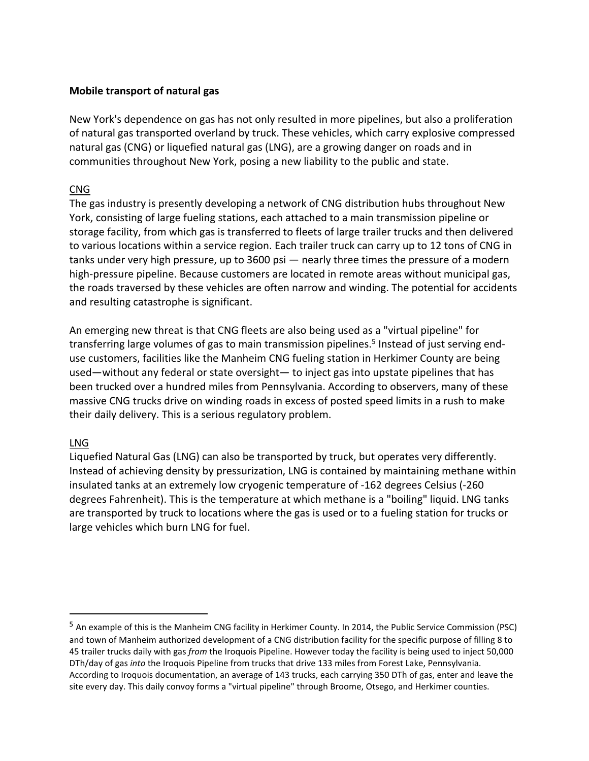# **Mobile transport of natural gas**

New York's dependence on gas has not only resulted in more pipelines, but also a proliferation of natural gas transported overland by truck. These vehicles, which carry explosive compressed natural gas (CNG) or liquefied natural gas (LNG), are a growing danger on roads and in communities throughout New York, posing a new liability to the public and state.

# CNG

The gas industry is presently developing a network of CNG distribution hubs throughout New York, consisting of large fueling stations, each attached to a main transmission pipeline or storage facility, from which gas is transferred to fleets of large trailer trucks and then delivered to various locations within a service region. Each trailer truck can carry up to 12 tons of CNG in tanks under very high pressure, up to 3600 psi — nearly three times the pressure of a modern high-pressure pipeline. Because customers are located in remote areas without municipal gas, the roads traversed by these vehicles are often narrow and winding. The potential for accidents and resulting catastrophe is significant.

An emerging new threat is that CNG fleets are also being used as a "virtual pipeline" for transferring large volumes of gas to main transmission pipelines.<sup>5</sup> Instead of just serving enduse customers, facilities like the Manheim CNG fueling station in Herkimer County are being used—without any federal or state oversight— to inject gas into upstate pipelines that has been trucked over a hundred miles from Pennsylvania. According to observers, many of these massive CNG trucks drive on winding roads in excess of posted speed limits in a rush to make their daily delivery. This is a serious regulatory problem.

# LNG

Liquefied Natural Gas (LNG) can also be transported by truck, but operates very differently. Instead of achieving density by pressurization, LNG is contained by maintaining methane within insulated tanks at an extremely low cryogenic temperature of -162 degrees Celsius (-260 degrees Fahrenheit). This is the temperature at which methane is a "boiling" liquid. LNG tanks are transported by truck to locations where the gas is used or to a fueling station for trucks or large vehicles which burn LNG for fuel.

<sup>5</sup> An example of this is the Manheim CNG facility in Herkimer County. In 2014, the Public Service Commission (PSC) and town of Manheim authorized development of a CNG distribution facility for the specific purpose of filling 8 to 45 trailer trucks daily with gas *from* the Iroquois Pipeline. However today the facility is being used to inject 50,000 DTh/day of gas *into* the Iroquois Pipeline from trucks that drive 133 miles from Forest Lake, Pennsylvania. According to Iroquois documentation, an average of 143 trucks, each carrying 350 DTh of gas, enter and leave the site every day. This daily convoy forms a "virtual pipeline" through Broome, Otsego, and Herkimer counties.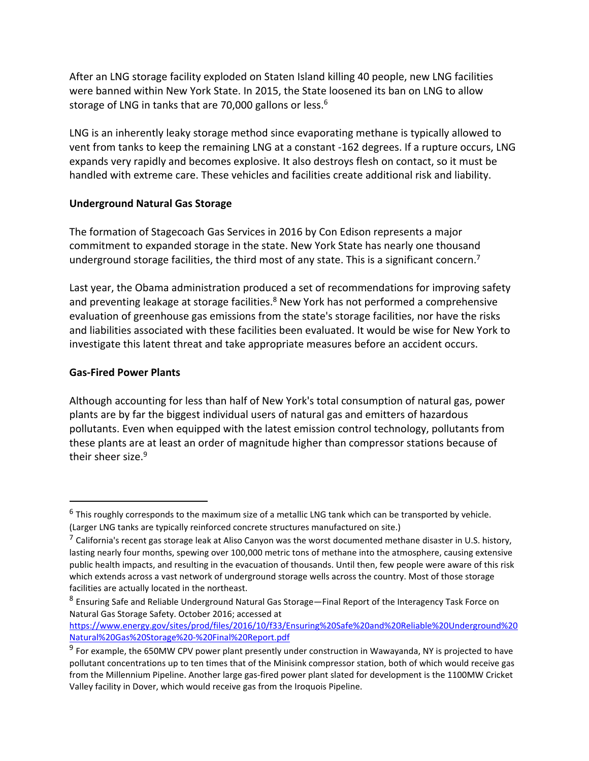After an LNG storage facility exploded on Staten Island killing 40 people, new LNG facilities were banned within New York State. In 2015, the State loosened its ban on LNG to allow storage of LNG in tanks that are 70,000 gallons or less.<sup>6</sup>

LNG is an inherently leaky storage method since evaporating methane is typically allowed to vent from tanks to keep the remaining LNG at a constant -162 degrees. If a rupture occurs, LNG expands very rapidly and becomes explosive. It also destroys flesh on contact, so it must be handled with extreme care. These vehicles and facilities create additional risk and liability.

### **Underground Natural Gas Storage**

The formation of Stagecoach Gas Services in 2016 by Con Edison represents a major commitment to expanded storage in the state. New York State has nearly one thousand underground storage facilities, the third most of any state. This is a significant concern.<sup>7</sup>

Last year, the Obama administration produced a set of recommendations for improving safety and preventing leakage at storage facilities.<sup>8</sup> New York has not performed a comprehensive evaluation of greenhouse gas emissions from the state's storage facilities, nor have the risks and liabilities associated with these facilities been evaluated. It would be wise for New York to investigate this latent threat and take appropriate measures before an accident occurs.

### **Gas-Fired Power Plants**

Although accounting for less than half of New York's total consumption of natural gas, power plants are by far the biggest individual users of natural gas and emitters of hazardous pollutants. Even when equipped with the latest emission control technology, pollutants from these plants are at least an order of magnitude higher than compressor stations because of their sheer size.<sup>9</sup>

 $6$  This roughly corresponds to the maximum size of a metallic LNG tank which can be transported by vehicle. (Larger LNG tanks are typically reinforced concrete structures manufactured on site.)

 $^7$  California's recent gas storage leak at Aliso Canyon was the worst documented methane disaster in U.S. history, lasting nearly four months, spewing over 100,000 metric tons of methane into the atmosphere, causing extensive public health impacts, and resulting in the evacuation of thousands. Until then, few people were aware of this risk which extends across a vast network of underground storage wells across the country. Most of those storage facilities are actually located in the northeast.

<sup>8</sup> Ensuring Safe and Reliable Underground Natural Gas Storage—Final Report of the Interagency Task Force on Natural Gas Storage Safety. October 2016; accessed at

https://www.energy.gov/sites/prod/files/2016/10/f33/Ensuring%20Safe%20and%20Reliable%20Underground%20 Natural%20Gas%20Storage%20-%20Final%20Report.pdf

<sup>&</sup>lt;sup>9</sup> For example, the 650MW CPV power plant presently under construction in Wawayanda, NY is projected to have pollutant concentrations up to ten times that of the Minisink compressor station, both of which would receive gas from the Millennium Pipeline. Another large gas-fired power plant slated for development is the 1100MW Cricket Valley facility in Dover, which would receive gas from the Iroquois Pipeline.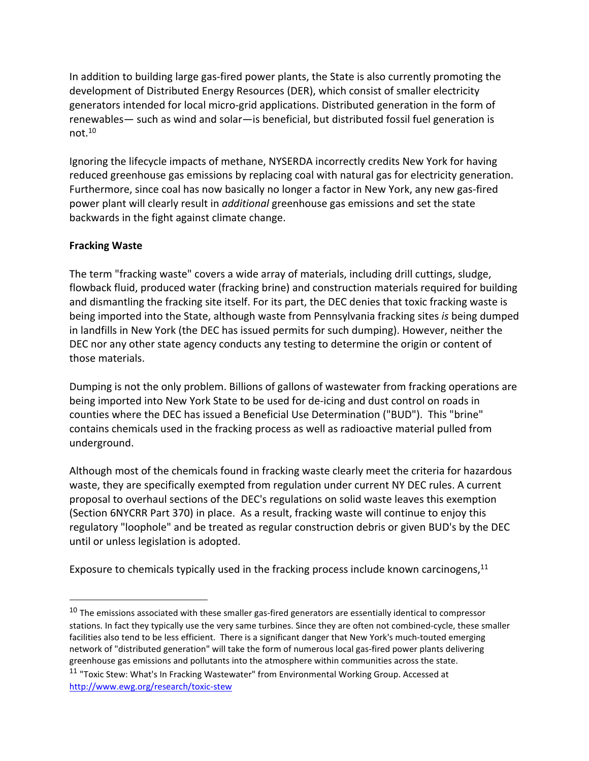In addition to building large gas-fired power plants, the State is also currently promoting the development of Distributed Energy Resources (DER), which consist of smaller electricity generators intended for local micro-grid applications. Distributed generation in the form of renewables— such as wind and solar—is beneficial, but distributed fossil fuel generation is not.10

Ignoring the lifecycle impacts of methane, NYSERDA incorrectly credits New York for having reduced greenhouse gas emissions by replacing coal with natural gas for electricity generation. Furthermore, since coal has now basically no longer a factor in New York, any new gas-fired power plant will clearly result in *additional* greenhouse gas emissions and set the state backwards in the fight against climate change.

# **Fracking Waste**

The term "fracking waste" covers a wide array of materials, including drill cuttings, sludge, flowback fluid, produced water (fracking brine) and construction materials required for building and dismantling the fracking site itself. For its part, the DEC denies that toxic fracking waste is being imported into the State, although waste from Pennsylvania fracking sites *is* being dumped in landfills in New York (the DEC has issued permits for such dumping). However, neither the DEC nor any other state agency conducts any testing to determine the origin or content of those materials.

Dumping is not the only problem. Billions of gallons of wastewater from fracking operations are being imported into New York State to be used for de-icing and dust control on roads in counties where the DEC has issued a Beneficial Use Determination ("BUD"). This "brine" contains chemicals used in the fracking process as well as radioactive material pulled from underground.

Although most of the chemicals found in fracking waste clearly meet the criteria for hazardous waste, they are specifically exempted from regulation under current NY DEC rules. A current proposal to overhaul sections of the DEC's regulations on solid waste leaves this exemption (Section 6NYCRR Part 370) in place. As a result, fracking waste will continue to enjoy this regulatory "loophole" and be treated as regular construction debris or given BUD's by the DEC until or unless legislation is adopted.

Exposure to chemicals typically used in the fracking process include known carcinogens,<sup>11</sup>

 $10$  The emissions associated with these smaller gas-fired generators are essentially identical to compressor stations. In fact they typically use the very same turbines. Since they are often not combined-cycle, these smaller facilities also tend to be less efficient. There is a significant danger that New York's much-touted emerging network of "distributed generation" will take the form of numerous local gas-fired power plants delivering greenhouse gas emissions and pollutants into the atmosphere within communities across the state.

<sup>&</sup>lt;sup>11</sup> "Toxic Stew: What's In Fracking Wastewater" from Environmental Working Group. Accessed at http://www.ewg.org/research/toxic-stew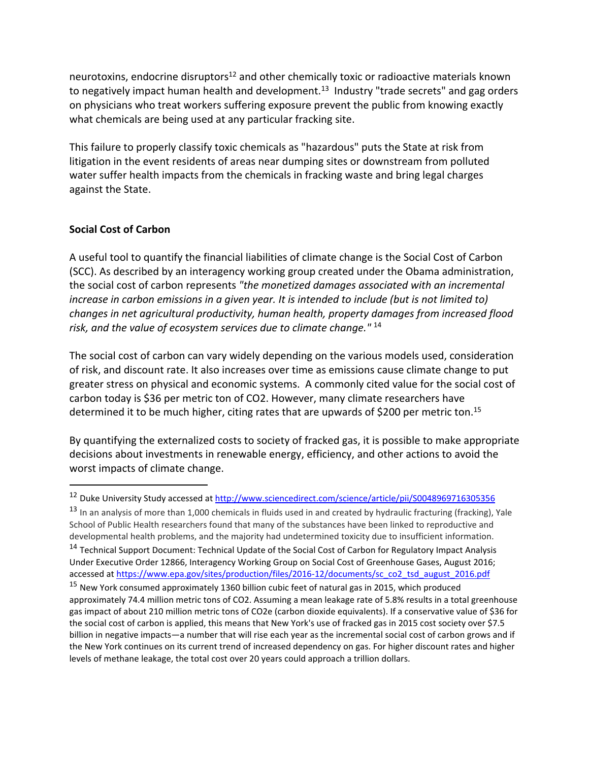neurotoxins, endocrine disruptors<sup>12</sup> and other chemically toxic or radioactive materials known to negatively impact human health and development.<sup>13</sup> Industry "trade secrets" and gag orders on physicians who treat workers suffering exposure prevent the public from knowing exactly what chemicals are being used at any particular fracking site.

This failure to properly classify toxic chemicals as "hazardous" puts the State at risk from litigation in the event residents of areas near dumping sites or downstream from polluted water suffer health impacts from the chemicals in fracking waste and bring legal charges against the State.

# **Social Cost of Carbon**

A useful tool to quantify the financial liabilities of climate change is the Social Cost of Carbon (SCC). As described by an interagency working group created under the Obama administration, the social cost of carbon represents *"the monetized damages associated with an incremental increase in carbon emissions in a given year. It is intended to include (but is not limited to) changes in net agricultural productivity, human health, property damages from increased flood risk, and the value of ecosystem services due to climate change."* <sup>14</sup>

The social cost of carbon can vary widely depending on the various models used, consideration of risk, and discount rate. It also increases over time as emissions cause climate change to put greater stress on physical and economic systems. A commonly cited value for the social cost of carbon today is \$36 per metric ton of CO2. However, many climate researchers have determined it to be much higher, citing rates that are upwards of \$200 per metric ton.<sup>15</sup>

By quantifying the externalized costs to society of fracked gas, it is possible to make appropriate decisions about investments in renewable energy, efficiency, and other actions to avoid the worst impacts of climate change.

<sup>&</sup>lt;sup>12</sup> Duke University Study accessed at http://www.sciencedirect.com/science/article/pii/S0048969716305356

 $13$  In an analysis of more than 1,000 chemicals in fluids used in and created by hydraulic fracturing (fracking), Yale School of Public Health researchers found that many of the substances have been linked to reproductive and developmental health problems, and the majority had undetermined toxicity due to insufficient information. <sup>14</sup> Technical Support Document: Technical Update of the Social Cost of Carbon for Regulatory Impact Analysis Under Executive Order 12866, Interagency Working Group on Social Cost of Greenhouse Gases, August 2016; accessed at https://www.epa.gov/sites/production/files/2016-12/documents/sc\_co2\_tsd\_august\_2016.pdf

<sup>&</sup>lt;sup>15</sup> New York consumed approximately 1360 billion cubic feet of natural gas in 2015, which produced approximately 74.4 million metric tons of CO2. Assuming a mean leakage rate of 5.8% results in a total greenhouse gas impact of about 210 million metric tons of CO2e (carbon dioxide equivalents). If a conservative value of \$36 for the social cost of carbon is applied, this means that New York's use of fracked gas in 2015 cost society over \$7.5 billion in negative impacts—a number that will rise each year as the incremental social cost of carbon grows and if the New York continues on its current trend of increased dependency on gas. For higher discount rates and higher levels of methane leakage, the total cost over 20 years could approach a trillion dollars.